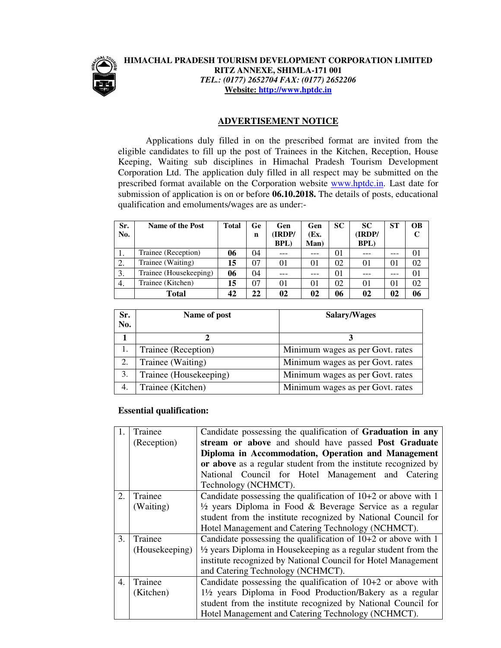

## **HIMACHAL PRADESH TOURISM DEVELOPMENT CORPORATION LIMITED RITZ ANNEXE, SHIMLA-171 001**  *TEL.: (0177) 2652704 FAX: (0177) 2652206*  **Website: http://www.hptdc.in**

## **ADVERTISEMENT NOTICE**

 Applications duly filled in on the prescribed format are invited from the eligible candidates to fill up the post of Trainees in the Kitchen, Reception, House Keeping, Waiting sub disciplines in Himachal Pradesh Tourism Development Corporation Ltd. The application duly filled in all respect may be submitted on the prescribed format available on the Corporation website www.hptdc.in. Last date for submission of application is on or before **06.10.2018.** The details of posts, educational qualification and emoluments/wages are as under:-

| Sr.<br>No. | <b>Name of the Post</b> | <b>Total</b> | Ge<br>n | Gen<br><b>IRDP/</b> | Gen<br>(Ex. | <b>SC</b> | <b>SC</b><br>(IRDP/ | <b>ST</b> | <b>OB</b><br>C |
|------------|-------------------------|--------------|---------|---------------------|-------------|-----------|---------------------|-----------|----------------|
|            |                         |              |         | <b>BPL</b> )        | Man)        |           | <b>BPL</b> )        |           |                |
|            | Trainee (Reception)     | 06           | 04      |                     |             | 01        |                     |           | 01             |
| 2.         | Trainee (Waiting)       | 15           | 07      | 01                  | 01          | 02        | 01                  | 01        | 02             |
| 3.         | Trainee (Housekeeping)  | 06           | 04      |                     |             | 01        |                     |           | 01             |
| 4.         | Trainee (Kitchen)       | 15           | 07      | 01                  | 01          | 02        | 01                  | 01        | 02             |
|            | <b>Total</b>            | 42           | 22      | 02                  | 02          | 06        | 02                  | 02        | 06             |

| Sr.<br>No. | Name of post           | Salary/Wages                     |  |  |
|------------|------------------------|----------------------------------|--|--|
|            |                        |                                  |  |  |
|            | Trainee (Reception)    | Minimum wages as per Govt. rates |  |  |
| 2.         | Trainee (Waiting)      | Minimum wages as per Govt. rates |  |  |
| 3.         | Trainee (Housekeeping) | Minimum wages as per Govt. rates |  |  |
|            | Trainee (Kitchen)      | Minimum wages as per Govt. rates |  |  |

## **Essential qualification:**

|    | Trainee        | Candidate possessing the qualification of Graduation in any               |  |  |  |  |  |
|----|----------------|---------------------------------------------------------------------------|--|--|--|--|--|
|    | (Reception)    | stream or above and should have passed Post Graduate                      |  |  |  |  |  |
|    |                | Diploma in Accommodation, Operation and Management                        |  |  |  |  |  |
|    |                | or above as a regular student from the institute recognized by            |  |  |  |  |  |
|    |                | National Council for Hotel Management and Catering                        |  |  |  |  |  |
|    |                | Technology (NCHMCT).                                                      |  |  |  |  |  |
| 2. | Trainee        | Candidate possessing the qualification of $10+2$ or above with 1          |  |  |  |  |  |
|    | (Waiting)      | $\frac{1}{2}$ years Diploma in Food & Beverage Service as a regular       |  |  |  |  |  |
|    |                | student from the institute recognized by National Council for             |  |  |  |  |  |
|    |                | Hotel Management and Catering Technology (NCHMCT).                        |  |  |  |  |  |
| 3. | Trainee        | Candidate possessing the qualification of $10+2$ or above with 1          |  |  |  |  |  |
|    | (Housekeeping) | $\frac{1}{2}$ years Diploma in Housekeeping as a regular student from the |  |  |  |  |  |
|    |                | institute recognized by National Council for Hotel Management             |  |  |  |  |  |
|    |                | and Catering Technology (NCHMCT).                                         |  |  |  |  |  |
| 4. | Trainee        | Candidate possessing the qualification of $10+2$ or above with            |  |  |  |  |  |
|    | (Kitchen)      | 1½ years Diploma in Food Production/Bakery as a regular                   |  |  |  |  |  |
|    |                | student from the institute recognized by National Council for             |  |  |  |  |  |
|    |                | Hotel Management and Catering Technology (NCHMCT).                        |  |  |  |  |  |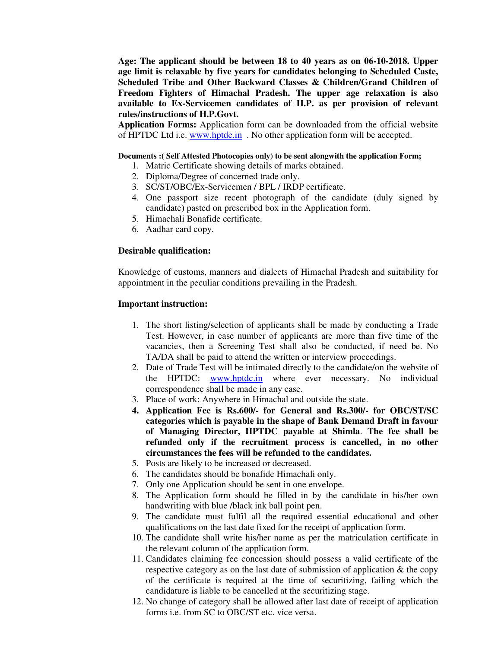**Age: The applicant should be between 18 to 40 years as on 06-10-2018. Upper age limit is relaxable by five years for candidates belonging to Scheduled Caste, Scheduled Tribe and Other Backward Classes & Children/Grand Children of Freedom Fighters of Himachal Pradesh. The upper age relaxation is also available to Ex-Servicemen candidates of H.P. as per provision of relevant rules/instructions of H.P.Govt.** 

**Application Forms:** Application form can be downloaded from the official website of HPTDC Ltd i.e. www.hptdc.in No other application form will be accepted.

#### **Documents :( Self Attested Photocopies only) to be sent alongwith the application Form;**

- 1. Matric Certificate showing details of marks obtained.
- 2. Diploma/Degree of concerned trade only.
- 3. SC/ST/OBC/Ex-Servicemen / BPL / IRDP certificate.
- 4. One passport size recent photograph of the candidate (duly signed by candidate) pasted on prescribed box in the Application form.
- 5. Himachali Bonafide certificate.
- 6. Aadhar card copy.

#### **Desirable qualification:**

Knowledge of customs, manners and dialects of Himachal Pradesh and suitability for appointment in the peculiar conditions prevailing in the Pradesh.

#### **Important instruction:**

- 1. The short listing/selection of applicants shall be made by conducting a Trade Test. However, in case number of applicants are more than five time of the vacancies, then a Screening Test shall also be conducted, if need be. No TA/DA shall be paid to attend the written or interview proceedings.
- 2. Date of Trade Test will be intimated directly to the candidate/on the website of the HPTDC: www.hptdc.in where ever necessary. No individual correspondence shall be made in any case.
- 3. Place of work: Anywhere in Himachal and outside the state.
- **4. Application Fee is Rs.600/- for General and Rs.300/- for OBC/ST/SC categories which is payable in the shape of Bank Demand Draft in favour of Managing Director, HPTDC payable at Shimla**. **The fee shall be refunded only if the recruitment process is cancelled, in no other circumstances the fees will be refunded to the candidates.**
- 5. Posts are likely to be increased or decreased.
- 6. The candidates should be bonafide Himachali only.
- 7. Only one Application should be sent in one envelope.
- 8. The Application form should be filled in by the candidate in his/her own handwriting with blue /black ink ball point pen.
- 9. The candidate must fulfil all the required essential educational and other qualifications on the last date fixed for the receipt of application form.
- 10. The candidate shall write his/her name as per the matriculation certificate in the relevant column of the application form.
- 11. Candidates claiming fee concession should possess a valid certificate of the respective category as on the last date of submission of application & the copy of the certificate is required at the time of securitizing, failing which the candidature is liable to be cancelled at the securitizing stage.
- 12. No change of category shall be allowed after last date of receipt of application forms i.e. from SC to OBC/ST etc. vice versa.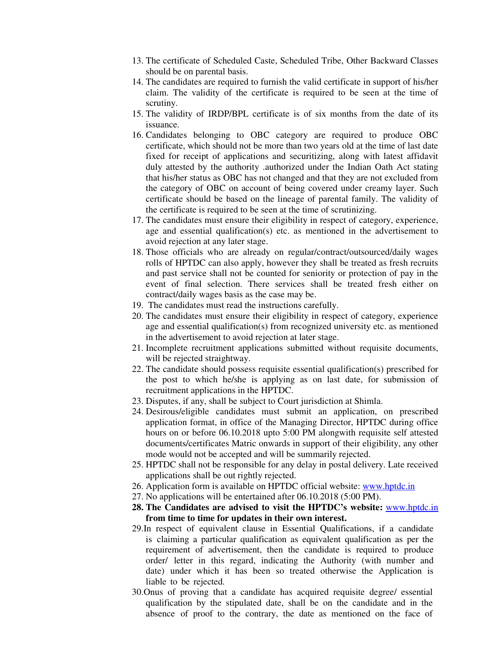- 13. The certificate of Scheduled Caste, Scheduled Tribe, Other Backward Classes should be on parental basis.
- 14. The candidates are required to furnish the valid certificate in support of his/her claim. The validity of the certificate is required to be seen at the time of scrutiny.
- 15. The validity of IRDP/BPL certificate is of six months from the date of its issuance.
- 16. Candidates belonging to OBC category are required to produce OBC certificate, which should not be more than two years old at the time of last date fixed for receipt of applications and securitizing, along with latest affidavit duly attested by the authority .authorized under the Indian Oath Act stating that his/her status as OBC has not changed and that they are not excluded from the category of OBC on account of being covered under creamy layer. Such certificate should be based on the lineage of parental family. The validity of the certificate is required to be seen at the time of scrutinizing.
- 17. The candidates must ensure their eligibility in respect of category, experience, age and essential qualification(s) etc. as mentioned in the advertisement to avoid rejection at any later stage.
- 18. Those officials who are already on regular/contract/outsourced/daily wages rolls of HPTDC can also apply, however they shall be treated as fresh recruits and past service shall not be counted for seniority or protection of pay in the event of final selection. There services shall be treated fresh either on contract/daily wages basis as the case may be.
- 19. The candidates must read the instructions carefully.
- 20. The candidates must ensure their eligibility in respect of category, experience age and essential qualification(s) from recognized university etc. as mentioned in the advertisement to avoid rejection at later stage.
- 21. Incomplete recruitment applications submitted without requisite documents, will be rejected straightway.
- 22. The candidate should possess requisite essential qualification(s) prescribed for the post to which he/she is applying as on last date, for submission of recruitment applications in the HPTDC.
- 23. Disputes, if any, shall be subject to Court jurisdiction at Shimla.
- 24. Desirous/eligible candidates must submit an application, on prescribed application format, in office of the Managing Director, HPTDC during office hours on or before 06.10.2018 upto 5:00 PM alongwith requisite self attested documents/certificates Matric onwards in support of their eligibility, any other mode would not be accepted and will be summarily rejected.
- 25. HPTDC shall not be responsible for any delay in postal delivery. Late received applications shall be out rightly rejected.
- 26. Application form is available on HPTDC official website: www.hptdc.in
- 27. No applications will be entertained after 06.10.2018 (5:00 PM).
- **28. The Candidates are advised to visit the HPTDC's website:** www.hptdc.in **from time to time for updates in their own interest.**
- 29.In respect of equivalent clause in Essential Qualifications, if a candidate is claiming a particular qualification as equivalent qualification as per the requirement of advertisement, then the candidate is required to produce order/ letter in this regard, indicating the Authority (with number and date) under which it has been so treated otherwise the Application is liable to be rejected.
- 30.Onus of proving that a candidate has acquired requisite degree/ essential qualification by the stipulated date, shall be on the candidate and in the absence of proof to the contrary, the date as mentioned on the face of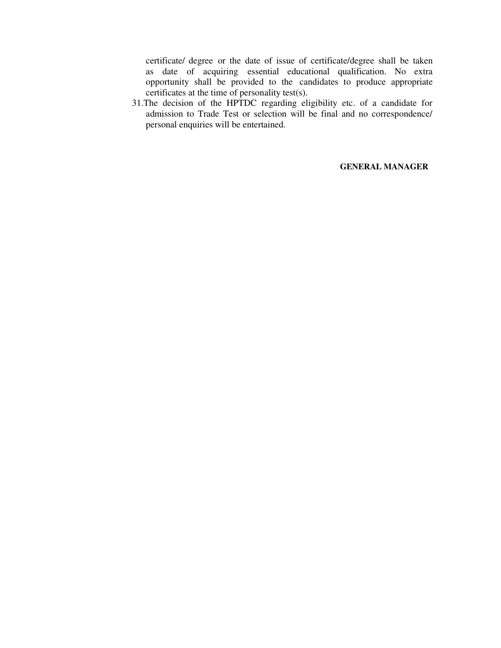certificate/ degree or the date of issue of certificate/degree shall be taken as date of acquiring essential educational qualification. No extra opportunity shall be provided to the candidates to produce appropriate certificates at the time of personality test(s).

31.The decision of the HPTDC regarding eligibility etc. of a candidate for admission to Trade Test or selection will be final and no correspondence/ personal enquiries will be entertained.

**GENERAL MANAGER**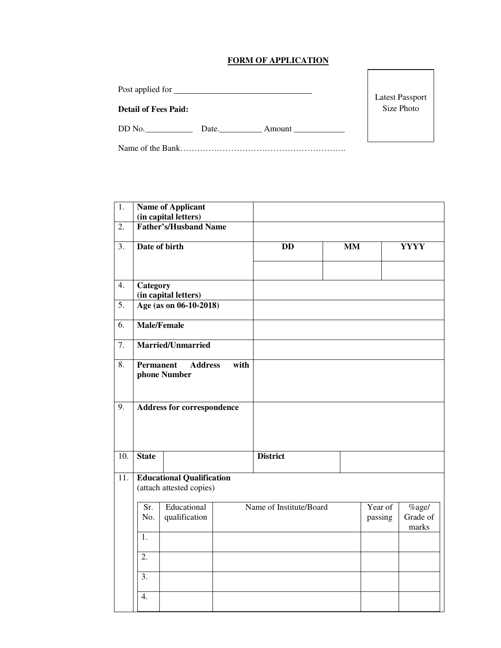# **FORM OF APPLICATION**

Post applied for

# **Detail of Fees Paid:**

DD No. \_\_\_\_\_\_\_\_\_\_\_ Date.\_\_\_\_\_\_\_\_\_\_ Amount \_\_\_\_\_\_\_\_\_\_\_\_

Name of the Bank…………………………………………………..

| 1.               |                                                              | <b>Name of Applicant</b><br>(in capital letters) |      |                         |  |                    |                               |  |
|------------------|--------------------------------------------------------------|--------------------------------------------------|------|-------------------------|--|--------------------|-------------------------------|--|
| $\overline{2}$ . | <b>Father's/Husband Name</b>                                 |                                                  |      |                         |  |                    |                               |  |
| 3.               | Date of birth                                                |                                                  |      | MM<br><b>DD</b>         |  |                    | <b>YYYY</b>                   |  |
| 4.               | <b>Category</b><br>(in capital letters)                      |                                                  |      |                         |  |                    |                               |  |
| $\overline{5}$ . | Age (as on 06-10-2018)                                       |                                                  |      |                         |  |                    |                               |  |
| 6.               |                                                              | <b>Male/Female</b>                               |      |                         |  |                    |                               |  |
| $\overline{7}$ . |                                                              | Married/Unmarried                                |      |                         |  |                    |                               |  |
| 8.               | <b>Permanent</b>                                             | <b>Address</b><br>phone Number                   | with |                         |  |                    |                               |  |
| 9.               |                                                              | <b>Address for correspondence</b>                |      |                         |  |                    |                               |  |
| 10.              | <b>State</b>                                                 |                                                  |      | <b>District</b>         |  |                    |                               |  |
| 11.              | <b>Educational Qualification</b><br>(attach attested copies) |                                                  |      |                         |  |                    |                               |  |
|                  | Sr.<br>No.                                                   | Educational<br>qualification                     |      | Name of Institute/Board |  | Year of<br>passing | $%$ age/<br>Grade of<br>marks |  |
|                  | 1.                                                           |                                                  |      |                         |  |                    |                               |  |
|                  | 2.                                                           |                                                  |      |                         |  |                    |                               |  |
|                  | 3.                                                           |                                                  |      |                         |  |                    |                               |  |
|                  | 4.                                                           |                                                  |      |                         |  |                    |                               |  |

Latest Passport Size Photo